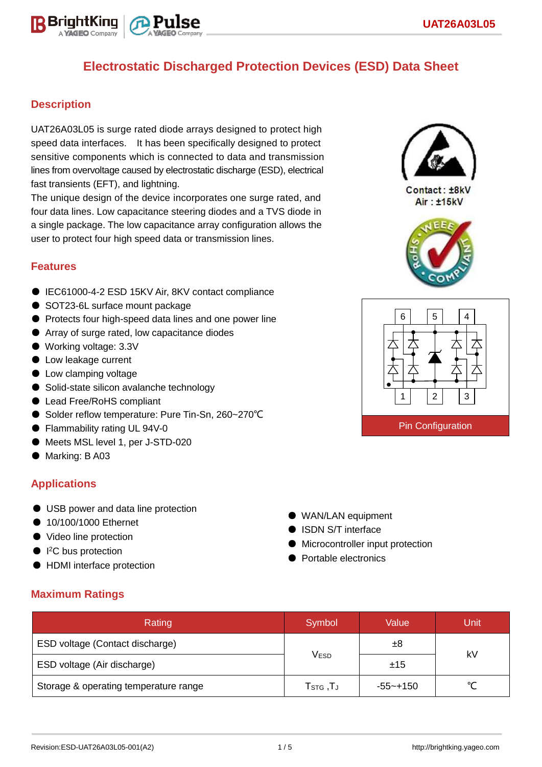

#### **Description**

UAT26A03L05 is surge rated diode arrays designed to protect high speed data interfaces. It has been specifically designed to protect sensitive components which is connected to data and transmission lines from overvoltage caused by electrostatic discharge (ESD), electrical fast transients (EFT), and lightning.

The unique design of the device incorporates one surge rated, and four data lines. Low capacitance steering diodes and a TVS diode in a single package. The low capacitance array configuration allows the user to protect four high speed data or transmission lines.

#### **Features**

- IEC61000-4-2 ESD 15KV Air, 8KV contact compliance
- SOT23-6L surface mount package
- Protects four high-speed data lines and one power line
- Array of surge rated, low capacitance diodes
- Working voltage: 3.3V
- Low leakage current
- Low clamping voltage
- Solid-state silicon avalanche technology
- Lead Free/RoHS compliant
- Solder reflow temperature: Pure Tin-Sn, 260~270°C
- Flammability rating UL 94V-0
- Meets MSL level 1, per J-STD-020
- Marking: B A03

#### **Applications**

- USB power and data line protection
- 10/100/1000 Ethernet
- Video line protection
- I<sup>2</sup>C bus protection
- HDMI interface protection
- WAN/LAN equipment ● ISDN S/T interface
- Microcontroller input protection
- Portable electronics

| <b>Maximum Ratings</b> |  |
|------------------------|--|
|------------------------|--|

| Rating                                | Symbol                             | Value    | Unit   |  |
|---------------------------------------|------------------------------------|----------|--------|--|
| ESD voltage (Contact discharge)       |                                    | ±8       | kV     |  |
| ESD voltage (Air discharge)           | <b>VESD</b>                        | ±15      |        |  |
| Storage & operating temperature range | $T_{\scriptstyle\textrm{STG}}$ ,TJ | -55~+150 | $\sim$ |  |



Contact: ±8kV  $Air : **±15kV**$ 



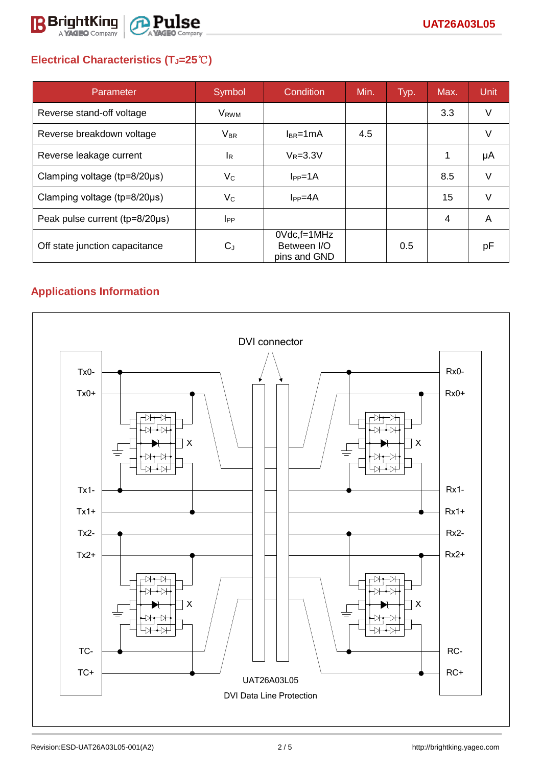

# **Electrical Characteristics (TJ=25**℃**)**

| Parameter                              | Symbol                    | <b>Condition</b>                                  | Min. | Typ. | Max.           | <b>Unit</b> |
|----------------------------------------|---------------------------|---------------------------------------------------|------|------|----------------|-------------|
| Reverse stand-off voltage              | <b>V<sub>RWM</sub></b>    |                                                   |      |      | 3.3            | V           |
| Reverse breakdown voltage              | <b>V<sub>BR</sub></b>     | $I_{BR}$ =1mA                                     | 4.5  |      |                | V           |
| Reverse leakage current                | <sup>I</sup> R            | $V_R = 3.3V$                                      |      |      |                | μA          |
| Clamping voltage ( $tp = 8/20 \mu s$ ) | $V_{\rm C}$               | $I_{PP} = 1A$                                     |      |      | 8.5            | V           |
| Clamping voltage ( $tp = 8/20 \mu s$ ) | $\mathsf{V}_{\mathsf{C}}$ | $I_{PP}=4A$                                       |      |      | 15             | V           |
| Peak pulse current (tp=8/20µs)         | $_{\rm lpp}$              |                                                   |      |      | $\overline{4}$ | A           |
| Off state junction capacitance         | $C_{J}$                   | $0Vdc$ , f=1 $MHz$<br>Between I/O<br>pins and GND |      | 0.5  |                | рF          |

# **Applications Information**

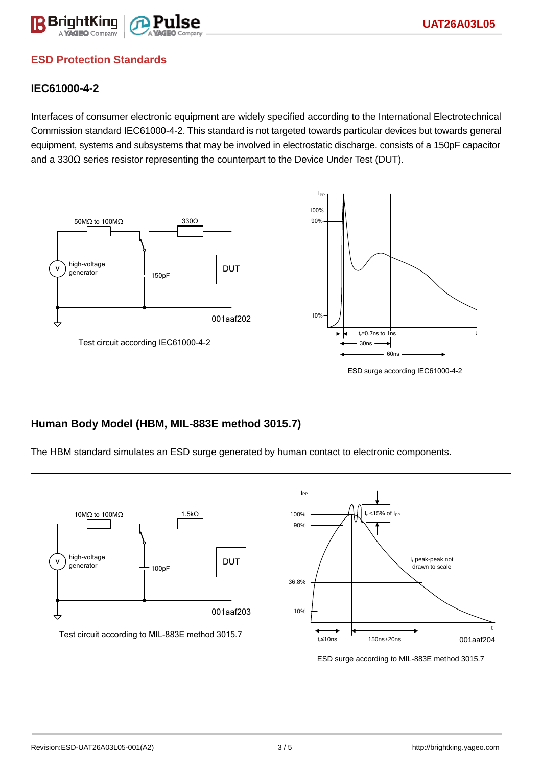

### **ESD Protection Standards**

#### **IEC61000-4-2**

Interfaces of consumer electronic equipment are widely specified according to the International Electrotechnical Commission standard IEC61000-4-2. This standard is not targeted towards particular devices but towards general equipment, systems and subsystems that may be involved in electrostatic discharge. consists of a 150pF capacitor and a 330Ω series resistor representing the counterpart to the Device Under Test (DUT).



#### **Human Body Model (HBM, MIL-883E method 3015.7)**

The HBM standard simulates an ESD surge generated by human contact to electronic components.

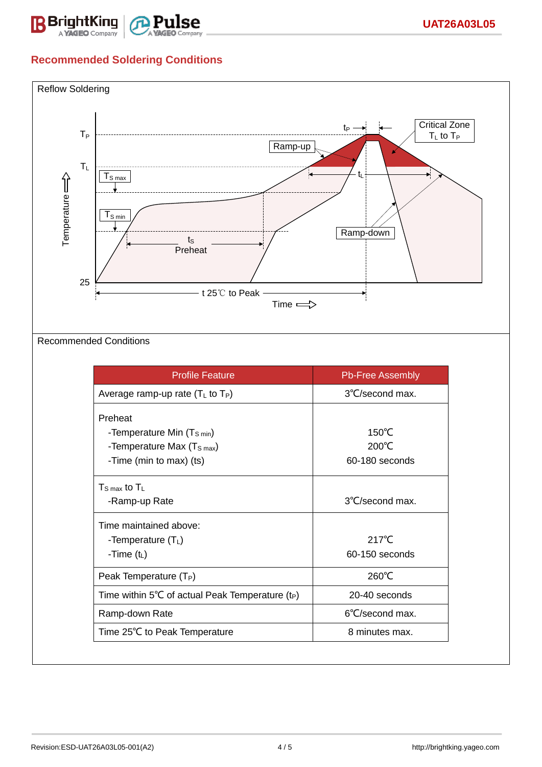

### **Recommended Soldering Conditions**